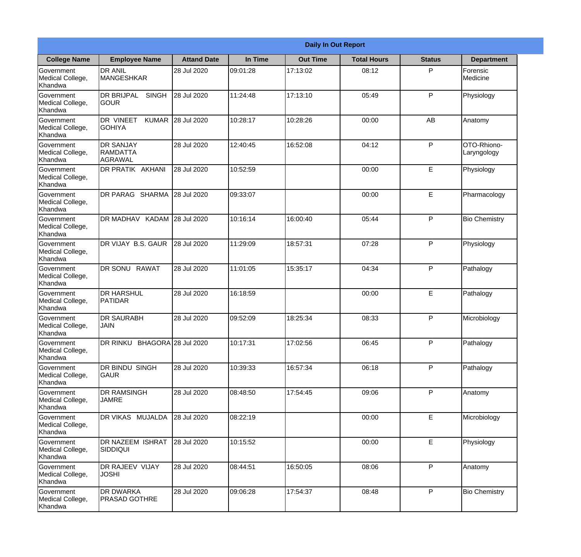|                                                  | <b>Daily In Out Report</b>                            |                    |          |                 |                    |               |                            |  |  |
|--------------------------------------------------|-------------------------------------------------------|--------------------|----------|-----------------|--------------------|---------------|----------------------------|--|--|
| <b>College Name</b>                              | <b>Employee Name</b>                                  | <b>Attand Date</b> | In Time  | <b>Out Time</b> | <b>Total Hours</b> | <b>Status</b> | <b>Department</b>          |  |  |
| Government<br>Medical College,<br>Khandwa        | <b>DR ANIL</b><br><b>MANGESHKAR</b>                   | 28 Jul 2020        | 09:01:28 | 17:13:02        | 08:12              | P             | Forensic<br>Medicine       |  |  |
| Government<br>Medical College,<br>Khandwa        | <b>DR BRIJPAL</b><br><b>SINGH</b><br> GOUR            | 28 Jul 2020        | 11:24:48 | 17:13:10        | 05:49              | P             | Physiology                 |  |  |
| <b>Government</b><br>Medical College,<br>Khandwa | <b>DR VINEET</b><br><b>KUMAR</b><br><b>I</b> GOHIYA   | 28 Jul 2020        | 10:28:17 | 10:28:26        | 00:00              | AB            | Anatomy                    |  |  |
| Government<br>Medical College,<br>Khandwa        | <b>DR SANJAY</b><br><b>RAMDATTA</b><br><b>AGRAWAL</b> | 28 Jul 2020        | 12:40:45 | 16:52:08        | 04:12              | P             | OTO-Rhiono-<br>Laryngology |  |  |
| Government<br>Medical College,<br>Khandwa        | <b>DR PRATIK AKHANI</b>                               | 28 Jul 2020        | 10:52:59 |                 | 00:00              | E             | Physiology                 |  |  |
| Government<br>Medical College,<br>Khandwa        | DR PARAG SHARMA                                       | 28 Jul 2020        | 09:33:07 |                 | 00:00              | E             | Pharmacology               |  |  |
| Government<br>Medical College,<br>Khandwa        | DR MADHAV KADAM 28 Jul 2020                           |                    | 10:16:14 | 16:00:40        | 05:44              | P             | <b>Bio Chemistry</b>       |  |  |
| Government<br>Medical College,<br>Khandwa        | DR VIJAY B.S. GAUR                                    | 28 Jul 2020        | 11:29:09 | 18:57:31        | 07:28              | P             | Physiology                 |  |  |
| Government<br>Medical College,<br>Khandwa        | <b>DR SONU RAWAT</b>                                  | 28 Jul 2020        | 11:01:05 | 15:35:17        | 04:34              | P             | Pathalogy                  |  |  |
| Government<br>Medical College,<br>Khandwa        | <b>DR HARSHUL</b><br>PATIDAR                          | 28 Jul 2020        | 16:18:59 |                 | 00:00              | E             | Pathalogy                  |  |  |
| Government<br>Medical College,<br>Khandwa        | <b>DR SAURABH</b><br><b>JAIN</b>                      | 28 Jul 2020        | 09:52:09 | 18:25:34        | 08:33              | $\mathsf{P}$  | Microbiology               |  |  |
| Government<br>Medical College,<br>Khandwa        | DR RINKU BHAGORA 28 Jul 2020                          |                    | 10:17:31 | 17:02:56        | 06:45              | P             | Pathalogy                  |  |  |
| Government<br>Medical College,<br>Khandwa        | <b>DR BINDU SINGH</b><br><b>GAUR</b>                  | 28 Jul 2020        | 10:39:33 | 16:57:34        | 06:18              | P             | Pathalogy                  |  |  |
| Government<br>Medical College,<br>Khandwa        | <b>DR RAMSINGH</b><br><b>JAMRE</b>                    | 28 Jul 2020        | 08:48:50 | 17:54:45        | 09:06              | P             | Anatomy                    |  |  |
| Government<br>Medical College,<br>Khandwa        | <b>DR VIKAS MUJALDA</b>                               | 28 Jul 2020        | 08:22:19 |                 | 00:00              | E             | Microbiology               |  |  |
| Government<br>Medical College,<br>Khandwa        | DR NAZEEM ISHRAT<br><b>SIDDIQUI</b>                   | 28 Jul 2020        | 10:15:52 |                 | 00:00              | E             | Physiology                 |  |  |
| Government<br>Medical College,<br>Khandwa        | <b>DR RAJEEV VIJAY</b><br><b>JOSHI</b>                | 28 Jul 2020        | 08:44:51 | 16:50:05        | 08:06              | P             | Anatomy                    |  |  |
| Government<br>Medical College,<br>Khandwa        | <b>DR DWARKA</b><br><b>PRASAD GOTHRE</b>              | 28 Jul 2020        | 09:06:28 | 17:54:37        | 08:48              | P             | <b>Bio Chemistry</b>       |  |  |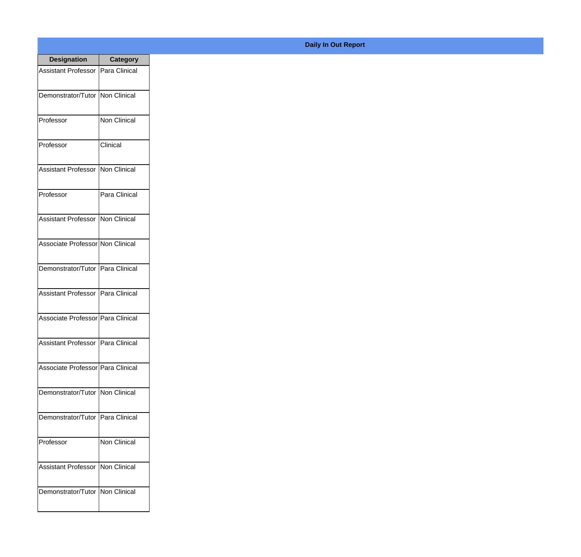| <b>Designation</b>                  | <b>Category</b> |
|-------------------------------------|-----------------|
| Assistant Professor   Para Clinical |                 |
| Demonstrator/Tutor   Non Clinical   |                 |
| Professor                           | Non Clinical    |
| Professor                           | Clinical        |
| <b>Assistant Professor</b>          | Non Clinical    |
| Professor                           | Para Clinical   |
| <b>Assistant Professor</b>          | Non Clinical    |
| Associate Professor Non Clinical    |                 |
| Demonstrator/Tutor   Para Clinical  |                 |
| <b>Assistant Professor</b>          | Para Clinical   |
| Associate Professor   Para Clinical |                 |
| Assistant Professor   Para Clinical |                 |
| Associate Professor Para Clinical   |                 |
| Demonstrator/Tutor   Non Clinical   |                 |
| Demonstrator/Tutor   Para Clinical  |                 |
| Professor                           | Non Clinical    |
| <b>Assistant Professor</b>          | Non Clinical    |
| Demonstrator/Tutor   Non Clinical   |                 |

## **Daily In Out Report**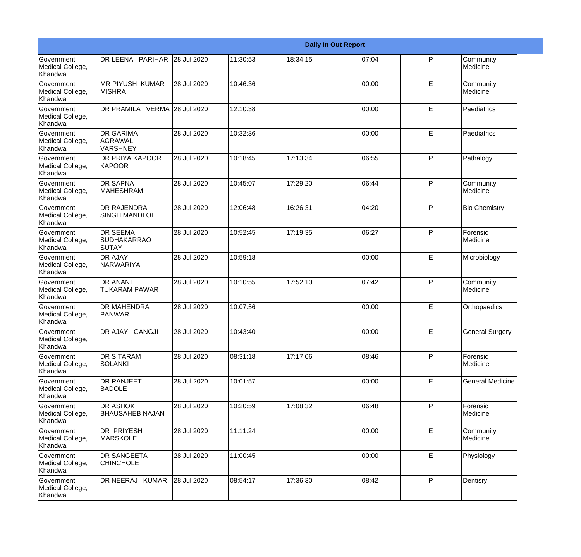|                                                  |                                                       | <b>Daily In Out Report</b> |          |          |       |              |                         |  |
|--------------------------------------------------|-------------------------------------------------------|----------------------------|----------|----------|-------|--------------|-------------------------|--|
| Government<br>Medical College,<br>Khandwa        | DR LEENA PARIHAR                                      | 28 Jul 2020                | 11:30:53 | 18:34:15 | 07:04 | P            | Community<br>Medicine   |  |
| Government<br>Medical College,<br>Khandwa        | <b>MR PIYUSH KUMAR</b><br><b>MISHRA</b>               | 28 Jul 2020                | 10:46:36 |          | 00:00 | E            | Community<br>Medicine   |  |
| <b>Government</b><br>Medical College,<br>Khandwa | DR PRAMILA VERMA 28 Jul 2020                          |                            | 12:10:38 |          | 00:00 | E            | Paediatrics             |  |
| Government<br>Medical College,<br>Khandwa        | <b>DR GARIMA</b><br><b>AGRAWAL</b><br><b>VARSHNEY</b> | 28 Jul 2020                | 10:32:36 |          | 00:00 | E            | Paediatrics             |  |
| <b>Government</b><br>Medical College,<br>Khandwa | DR PRIYA KAPOOR<br><b>KAPOOR</b>                      | 28 Jul 2020                | 10:18:45 | 17:13:34 | 06:55 | $\mathsf{P}$ | Pathalogy               |  |
| Government<br>Medical College,<br><b>Khandwa</b> | <b>DR SAPNA</b><br><b>MAHESHRAM</b>                   | 28 Jul 2020                | 10:45:07 | 17:29:20 | 06:44 | $\mathsf{P}$ | Community<br>Medicine   |  |
| Government<br>Medical College,<br>Khandwa        | <b>DR RAJENDRA</b><br><b>SINGH MANDLOI</b>            | 28 Jul 2020                | 12:06:48 | 16:26:31 | 04:20 | $\mathsf{P}$ | <b>Bio Chemistry</b>    |  |
| <b>Government</b><br>Medical College,<br>Khandwa | DR SEEMA<br><b>SUDHAKARRAO</b><br>SUTAY               | 28 Jul 2020                | 10:52:45 | 17:19:35 | 06:27 | $\mathsf{P}$ | Forensic<br>Medicine    |  |
| Government<br>Medical College,<br>Khandwa        | DR AJAY<br>NARWARIYA                                  | 28 Jul 2020                | 10:59:18 |          | 00:00 | E            | Microbiology            |  |
| Government<br>Medical College,<br>Khandwa        | <b>DR ANANT</b><br><b>TUKARAM PAWAR</b>               | 28 Jul 2020                | 10:10:55 | 17:52:10 | 07:42 | $\mathsf{P}$ | Community<br>Medicine   |  |
| <b>Government</b><br>Medical College,<br>Khandwa | <b>DR MAHENDRA</b><br><b>PANWAR</b>                   | 28 Jul 2020                | 10:07:56 |          | 00:00 | E            | Orthopaedics            |  |
| Government<br>Medical College,<br>Khandwa        | DR AJAY GANGJI                                        | 28 Jul 2020                | 10:43:40 |          | 00:00 | E            | <b>General Surgery</b>  |  |
| Government<br>Medical College,<br>Khandwa        | DR SITARAM<br><b>SOLANKI</b>                          | 28 Jul 2020                | 08:31:18 | 17:17:06 | 08:46 | P            | Forensic<br>Medicine    |  |
| <b>Government</b><br>Medical College,<br>Khandwa | DR RANJEET<br><b>BADOLE</b>                           | 28 Jul 2020                | 10:01:57 |          | 00:00 | E            | <b>General Medicine</b> |  |
| Government<br>Medical College,<br>Khandwa        | <b>DR ASHOK</b><br><b>BHAUSAHEB NAJAN</b>             | 28 Jul 2020                | 10:20:59 | 17:08:32 | 06:48 | $\mathsf{P}$ | Forensic<br>Medicine    |  |
| Government<br>Medical College,<br>Khandwa        | <b>DR PRIYESH</b><br><b>MARSKOLE</b>                  | 28 Jul 2020                | 11:11:24 |          | 00:00 | E            | Community<br>Medicine   |  |
| Government<br>Medical College,<br>Khandwa        | DR SANGEETA<br><b>CHINCHOLE</b>                       | 28 Jul 2020                | 11:00:45 |          | 00:00 | E            | Physiology              |  |
| Government<br>Medical College,<br>Khandwa        | DR NEERAJ KUMAR                                       | 28 Jul 2020                | 08:54:17 | 17:36:30 | 08:42 | P            | Dentisry                |  |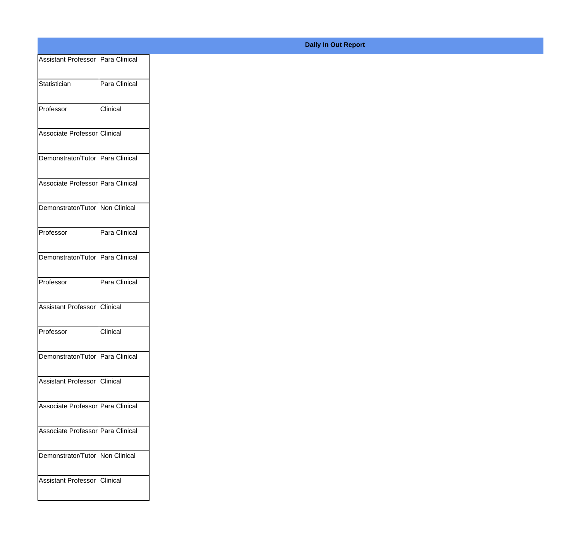| Assistant Professor   Para Clinical |               |
|-------------------------------------|---------------|
|                                     | Para Clinical |
| Statistician                        |               |
| Professor                           | Clinical      |
| Associate Professor Clinical        |               |
|                                     |               |
| Demonstrator/Tutor Para Clinical    |               |
| Associate Professor Para Clinical   |               |
|                                     |               |
| Demonstrator/Tutor Non Clinical     |               |
| Professor                           | Para Clinical |
|                                     |               |
| Demonstrator/Tutor Para Clinical    |               |
| Professor                           | Para Clinical |
| Assistant Professor Clinical        |               |
|                                     |               |
| Professor                           | Clinical      |
| Demonstrator/Tutor   Para Clinical  |               |
|                                     |               |
| Assistant Professor Clinical        |               |
| Associate Professor Para Clinical   |               |
|                                     |               |
| Associate Professor Para Clinical   |               |
| Demonstrator/Tutor   Non Clinical   |               |
|                                     |               |
| Assistant Professor Clinical        |               |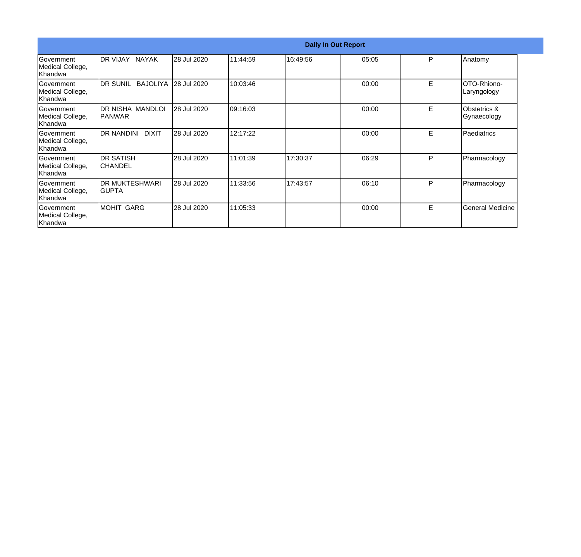|                                                  | <b>Daily In Out Report</b>        |             |          |          |       |    |                             |  |
|--------------------------------------------------|-----------------------------------|-------------|----------|----------|-------|----|-----------------------------|--|
| lGovernment<br>Medical College,<br>Khandwa       | DR VIJAY NAYAK                    | 28 Jul 2020 | 11:44:59 | 16:49:56 | 05:05 | P  | Anatomy                     |  |
| lGovernment<br>Medical College,<br>Khandwa       | DR SUNIL BAJOLIYA                 | 28 Jul 2020 | 10:03:46 |          | 00:00 | E  | OTO-Rhiono-<br>Laryngology  |  |
| Government<br>Medical College,<br>Khandwa        | DR NISHA MANDLOI<br><b>PANWAR</b> | 28 Jul 2020 | 09:16:03 |          | 00:00 | Е  | Obstetrics &<br>Gynaecology |  |
| Government<br>Medical College,<br>Khandwa        | DR NANDINI<br><b>DIXIT</b>        | 28 Jul 2020 | 12:17:22 |          | 00:00 | E. | Paediatrics                 |  |
| <b>Government</b><br>Medical College,<br>Khandwa | <b>DR SATISH</b><br>ICHANDEL      | 28 Jul 2020 | 11:01:39 | 17:30:37 | 06:29 | P  | Pharmacology                |  |
| lGovernment<br>Medical College,<br>Khandwa       | DR MUKTESHWARI<br>IGUPTA          | 28 Jul 2020 | 11:33:56 | 17:43:57 | 06:10 | P  | Pharmacology                |  |
| <b>Government</b><br>Medical College,<br>Khandwa | MOHIT GARG                        | 28 Jul 2020 | 11:05:33 |          | 00:00 | Е  | <b>General Medicine</b>     |  |